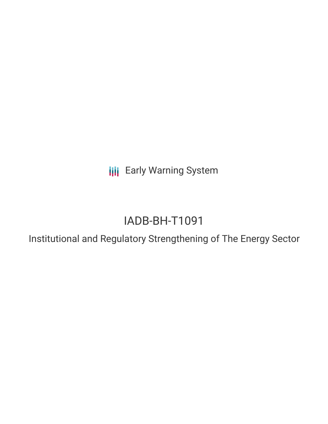**III** Early Warning System

# IADB-BH-T1091

Institutional and Regulatory Strengthening of The Energy Sector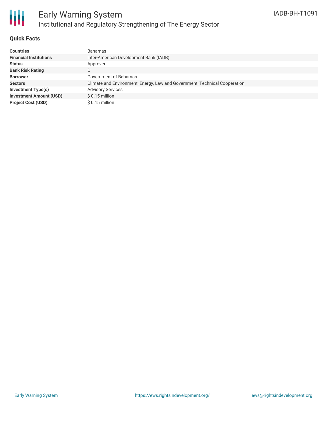

## **Quick Facts**

| <b>Countries</b>               | <b>Bahamas</b>                                                             |
|--------------------------------|----------------------------------------------------------------------------|
| <b>Financial Institutions</b>  | Inter-American Development Bank (IADB)                                     |
| <b>Status</b>                  | Approved                                                                   |
| <b>Bank Risk Rating</b>        | $\sim$<br>U                                                                |
| <b>Borrower</b>                | Government of Bahamas                                                      |
| <b>Sectors</b>                 | Climate and Environment, Energy, Law and Government, Technical Cooperation |
| Investment Type(s)             | <b>Advisory Services</b>                                                   |
| <b>Investment Amount (USD)</b> | $$0.15$ million                                                            |
| <b>Project Cost (USD)</b>      | $$0.15$ million                                                            |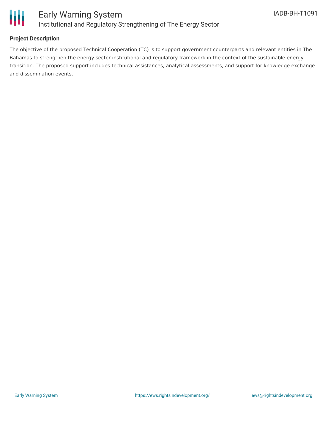

## **Project Description**

The objective of the proposed Technical Cooperation (TC) is to support government counterparts and relevant entities in The Bahamas to strengthen the energy sector institutional and regulatory framework in the context of the sustainable energy transition. The proposed support includes technical assistances, analytical assessments, and support for knowledge exchange and dissemination events.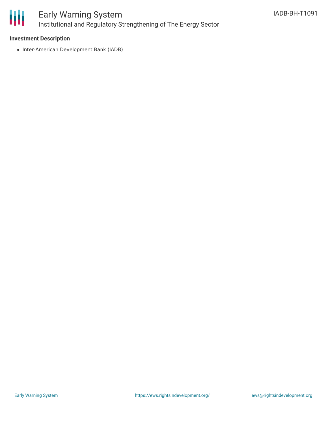

## **Investment Description**

• Inter-American Development Bank (IADB)